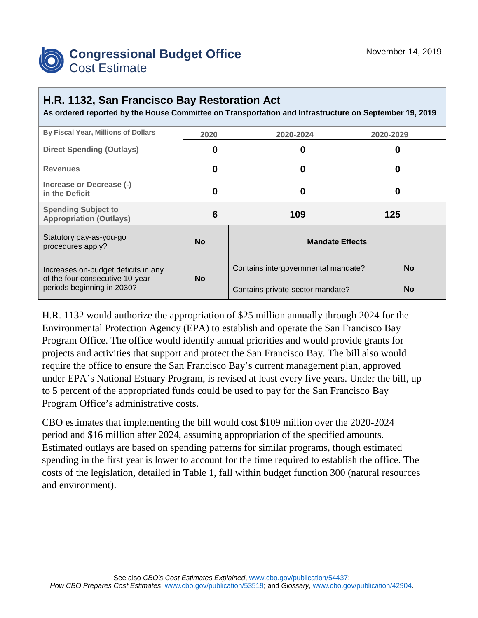

## **H.R. 1132, San Francisco Bay Restoration Act**

**As ordered reported by the House Committee on Transportation and Infrastructure on September 19, 2019**

| By Fiscal Year, Millions of Dollars                           | 2020      | 2020-2024                           | 2020-2029 |  |
|---------------------------------------------------------------|-----------|-------------------------------------|-----------|--|
| <b>Direct Spending (Outlays)</b>                              | 0         | 0                                   | 0         |  |
| <b>Revenues</b>                                               | 0         | 0                                   | 0         |  |
| Increase or Decrease (-)<br>in the Deficit                    | 0         | 0                                   | O         |  |
| <b>Spending Subject to</b><br><b>Appropriation (Outlays)</b>  | 6         | 109                                 | 125       |  |
| Statutory pay-as-you-go<br>procedures apply?                  | <b>No</b> | <b>Mandate Effects</b>              |           |  |
| Increases on-budget deficits in any                           | <b>No</b> | Contains intergovernmental mandate? | <b>No</b> |  |
| of the four consecutive 10-year<br>periods beginning in 2030? |           | Contains private-sector mandate?    | <b>No</b> |  |

H.R. 1132 would authorize the appropriation of \$25 million annually through 2024 for the Environmental Protection Agency (EPA) to establish and operate the San Francisco Bay Program Office. The office would identify annual priorities and would provide grants for projects and activities that support and protect the San Francisco Bay. The bill also would require the office to ensure the San Francisco Bay's current management plan, approved under EPA's National Estuary Program, is revised at least every five years. Under the bill, up to 5 percent of the appropriated funds could be used to pay for the San Francisco Bay Program Office's administrative costs.

CBO estimates that implementing the bill would cost \$109 million over the 2020-2024 period and \$16 million after 2024, assuming appropriation of the specified amounts. Estimated outlays are based on spending patterns for similar programs, though estimated spending in the first year is lower to account for the time required to establish the office. The costs of the legislation, detailed in Table 1, fall within budget function 300 (natural resources and environment).